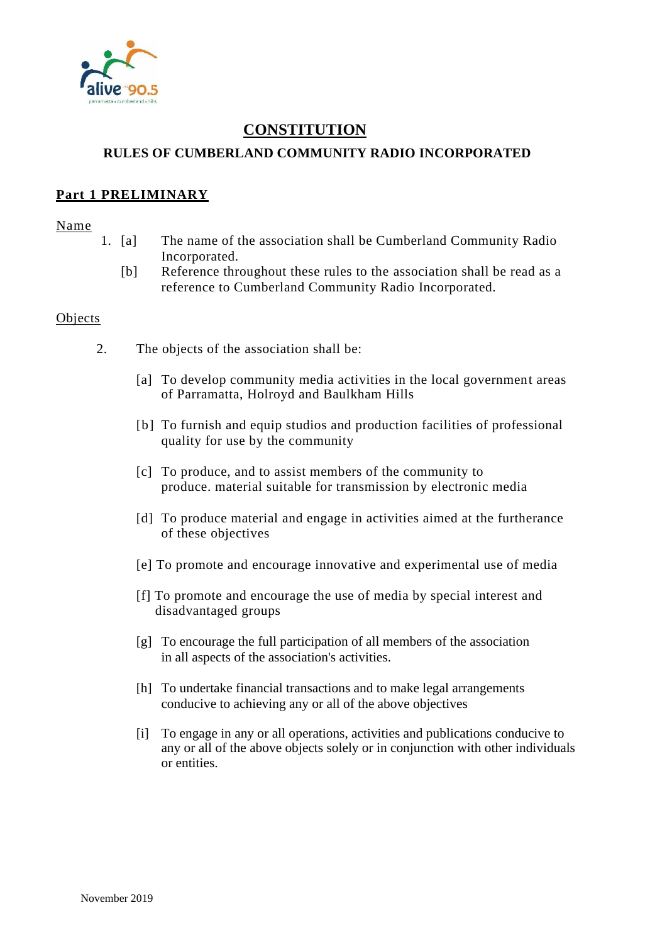

# **CONSTITUTION RULES OF CUMBERLAND COMMUNITY RADIO INCORPORATED**

### **Part 1 PRELIMINARY**

#### Name

- 1. [a] The name of the association shall be Cumberland Community Radio Incorporated.
	- [b] Reference throughout these rules to the association shall be read as a reference to Cumberland Community Radio Incorporated.

#### **Objects**

- 2. The objects of the association shall be:
	- [a] To develop community media activities in the local government areas of Parramatta, Holroyd and Baulkham Hills
	- [b] To furnish and equip studios and production facilities of professional quality for use by the community
	- [c] To produce, and to assist members of the community to produce. material suitable for transmission by electronic media
	- [d] To produce material and engage in activities aimed at the furtherance of these objectives
	- [e] To promote and encourage innovative and experimental use of media
	- [f] To promote and encourage the use of media by special interest and disadvantaged groups
	- [g] To encourage the full participation of all members of the association in all aspects of the association's activities.
	- [h] To undertake financial transactions and to make legal arrangements conducive to achieving any or all of the above objectives
	- [i] To engage in any or all operations, activities and publications conducive to any or all of the above objects solely or in conjunction with other individuals or entities.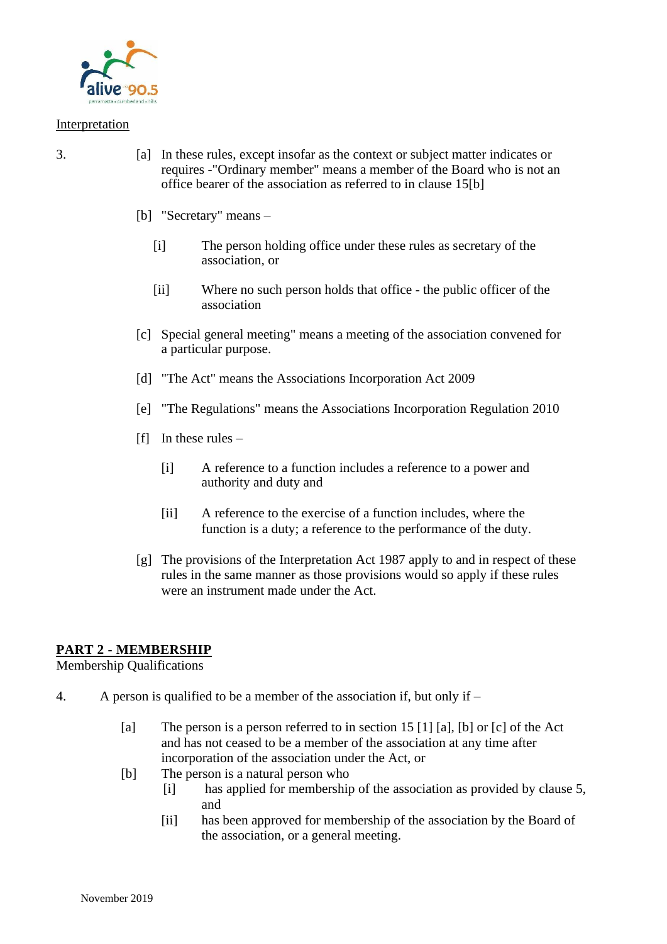

#### Interpretation

- 3. [a] In these rules, except insofar as the context or subject matter indicates or requires -"Ordinary member" means a member of the Board who is not an office bearer of the association as referred to in clause 15[b]
	- [b] "Secretary" means
		- [i] The person holding office under these rules as secretary of the association, or
		- [ii] Where no such person holds that office the public officer of the association
	- [c] Special general meeting" means a meeting of the association convened for a particular purpose.
	- [d] "The Act" means the Associations Incorporation Act 2009
	- [e] "The Regulations" means the Associations Incorporation Regulation 2010
	- $[f]$  In these rules
		- [i] A reference to a function includes a reference to a power and authority and duty and
		- [ii] A reference to the exercise of a function includes, where the function is a duty; a reference to the performance of the duty.
	- [g] The provisions of the Interpretation Act 1987 apply to and in respect of these rules in the same manner as those provisions would so apply if these rules were an instrument made under the Act.

### **PART 2 - MEMBERSHIP**

Membership Qualifications

- 4. A person is qualified to be a member of the association if, but only if
	- [a] The person is a person referred to in section 15 [1] [a], [b] or [c] of the Act and has not ceased to be a member of the association at any time after incorporation of the association under the Act, or
	- [b] The person is a natural person who
		- [i] has applied for membership of the association as provided by clause 5, and
		- [ii] has been approved for membership of the association by the Board of the association, or a general meeting.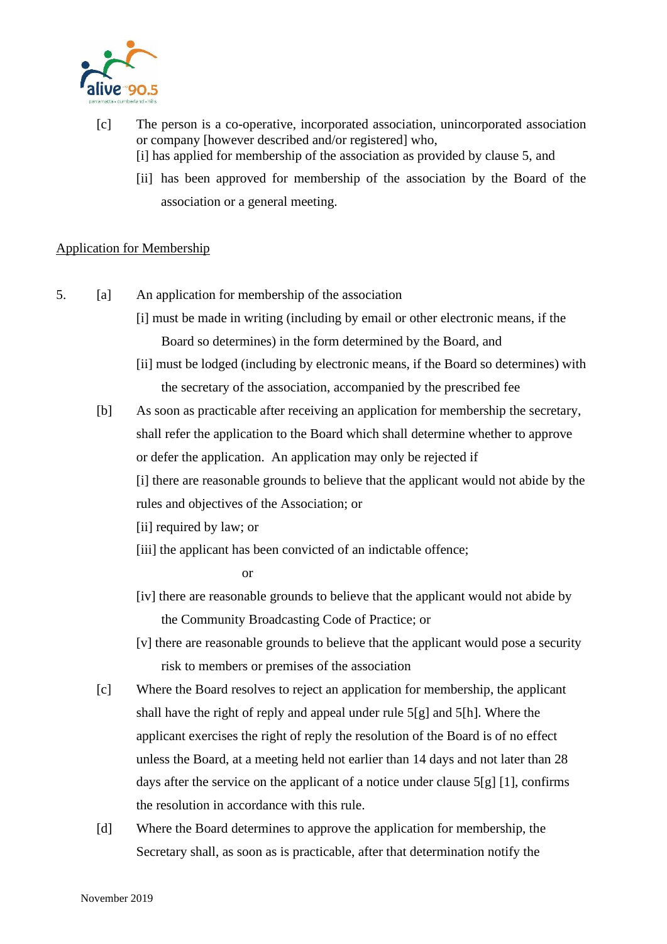

- [c] The person is a co-operative, incorporated association, unincorporated association or company [however described and/or registered] who, [i] has applied for membership of the association as provided by clause 5, and
	- [ii] has been approved for membership of the association by the Board of the association or a general meeting.

### Application for Membership

- 5. [a] An application for membership of the association
	- [i] must be made in writing (including by email or other electronic means, if the Board so determines) in the form determined by the Board, and
	- [ii] must be lodged (including by electronic means, if the Board so determines) with the secretary of the association, accompanied by the prescribed fee
	- [b] As soon as practicable after receiving an application for membership the secretary, shall refer the application to the Board which shall determine whether to approve or defer the application. An application may only be rejected if
		- [i] there are reasonable grounds to believe that the applicant would not abide by the rules and objectives of the Association; or
		- [ii] required by law; or
		- [iii] the applicant has been convicted of an indictable offence;

or

- [iv] there are reasonable grounds to believe that the applicant would not abide by the Community Broadcasting Code of Practice; or
- [v] there are reasonable grounds to believe that the applicant would pose a security risk to members or premises of the association
- [c] Where the Board resolves to reject an application for membership, the applicant shall have the right of reply and appeal under rule 5[g] and 5[h]. Where the applicant exercises the right of reply the resolution of the Board is of no effect unless the Board, at a meeting held not earlier than 14 days and not later than 28 days after the service on the applicant of a notice under clause 5[g] [1], confirms the resolution in accordance with this rule.
- [d] Where the Board determines to approve the application for membership, the Secretary shall, as soon as is practicable, after that determination notify the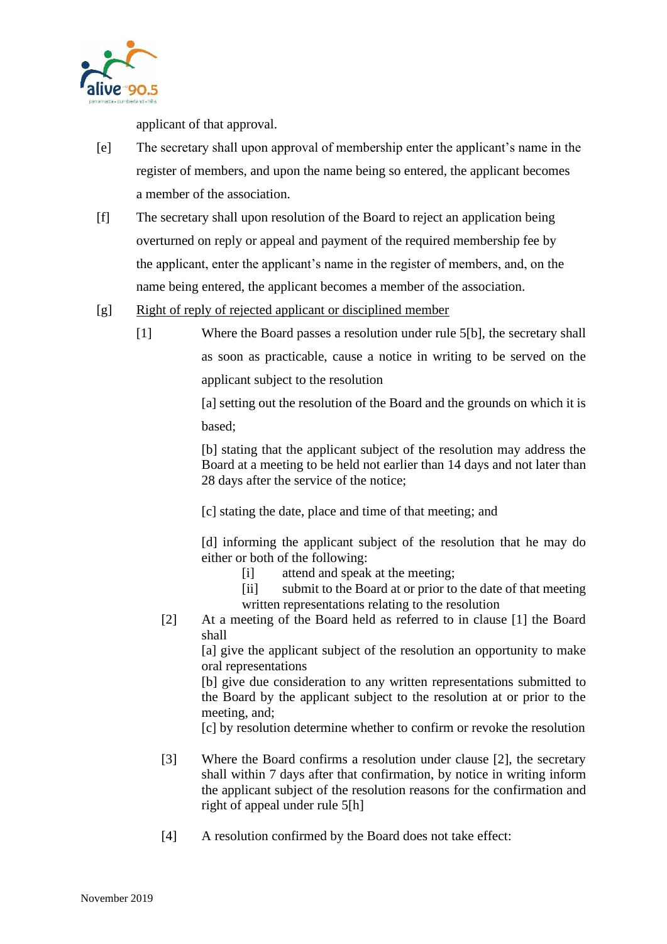

applicant of that approval.

- [e] The secretary shall upon approval of membership enter the applicant's name in the register of members, and upon the name being so entered, the applicant becomes a member of the association.
- [f] The secretary shall upon resolution of the Board to reject an application being overturned on reply or appeal and payment of the required membership fee by the applicant, enter the applicant's name in the register of members, and, on the name being entered, the applicant becomes a member of the association.
- [g] Right of reply of rejected applicant or disciplined member
	- [1] Where the Board passes a resolution under rule 5[b], the secretary shall as soon as practicable, cause a notice in writing to be served on the applicant subject to the resolution

[a] setting out the resolution of the Board and the grounds on which it is based;

[b] stating that the applicant subject of the resolution may address the Board at a meeting to be held not earlier than 14 days and not later than 28 days after the service of the notice;

[c] stating the date, place and time of that meeting; and

[d] informing the applicant subject of the resolution that he may do either or both of the following:

- [i] attend and speak at the meeting;
- [ii] submit to the Board at or prior to the date of that meeting written representations relating to the resolution
- [2] At a meeting of the Board held as referred to in clause [1] the Board shall

[a] give the applicant subject of the resolution an opportunity to make oral representations

[b] give due consideration to any written representations submitted to the Board by the applicant subject to the resolution at or prior to the meeting, and;

[c] by resolution determine whether to confirm or revoke the resolution

- [3] Where the Board confirms a resolution under clause [2], the secretary shall within 7 days after that confirmation, by notice in writing inform the applicant subject of the resolution reasons for the confirmation and right of appeal under rule 5[h]
- [4] A resolution confirmed by the Board does not take effect: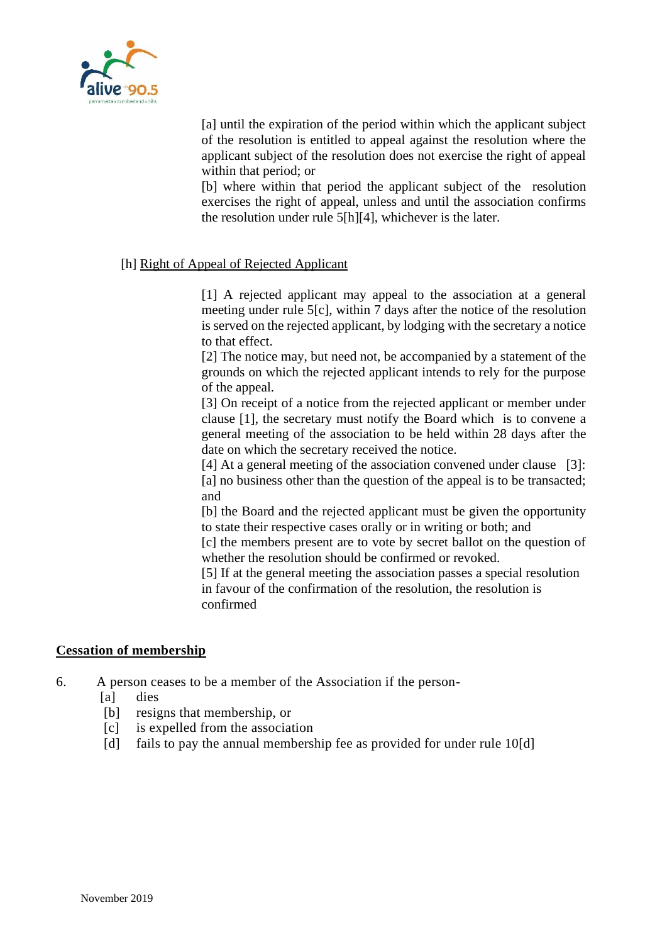

[a] until the expiration of the period within which the applicant subject of the resolution is entitled to appeal against the resolution where the applicant subject of the resolution does not exercise the right of appeal within that period; or

[b] where within that period the applicant subject of the resolution exercises the right of appeal, unless and until the association confirms the resolution under rule 5[h][4], whichever is the later.

### [h] Right of Appeal of Rejected Applicant

[1] A rejected applicant may appeal to the association at a general meeting under rule 5[c], within 7 days after the notice of the resolution is served on the rejected applicant, by lodging with the secretary a notice to that effect.

[2] The notice may, but need not, be accompanied by a statement of the grounds on which the rejected applicant intends to rely for the purpose of the appeal.

[3] On receipt of a notice from the rejected applicant or member under clause [1], the secretary must notify the Board which is to convene a general meeting of the association to be held within 28 days after the date on which the secretary received the notice.

[4] At a general meeting of the association convened under clause [3]: [a] no business other than the question of the appeal is to be transacted; and

[b] the Board and the rejected applicant must be given the opportunity to state their respective cases orally or in writing or both; and

[c] the members present are to vote by secret ballot on the question of whether the resolution should be confirmed or revoked.

[5] If at the general meeting the association passes a special resolution in favour of the confirmation of the resolution, the resolution is confirmed

#### **Cessation of membership**

6. A person ceases to be a member of the Association if the person-

- [a] dies
- [b] resigns that membership, or
- [c] is expelled from the association
- [d] fails to pay the annual membership fee as provided for under rule 10[d]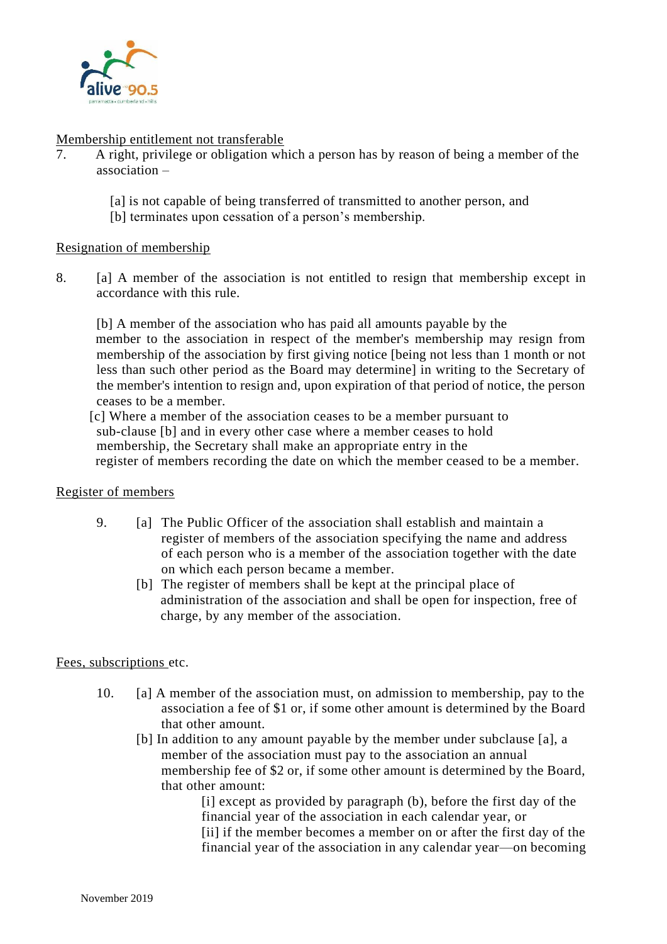

#### Membership entitlement not transferable

- 7. A right, privilege or obligation which a person has by reason of being a member of the association –
	- [a] is not capable of being transferred of transmitted to another person, and
	- [b] terminates upon cessation of a person's membership.

### Resignation of membership

8. [a] A member of the association is not entitled to resign that membership except in accordance with this rule.

[b] A member of the association who has paid all amounts payable by the member to the association in respect of the member's membership may resign from membership of the association by first giving notice [being not less than 1 month or not less than such other period as the Board may determine] in writing to the Secretary of the member's intention to resign and, upon expiration of that period of notice, the person ceases to be a member.

 [c] Where a member of the association ceases to be a member pursuant to sub-clause [b] and in every other case where a member ceases to hold membership, the Secretary shall make an appropriate entry in the register of members recording the date on which the member ceased to be a member.

#### Register of members

- 9. [a] The Public Officer of the association shall establish and maintain a register of members of the association specifying the name and address of each person who is a member of the association together with the date on which each person became a member.
	- [b] The register of members shall be kept at the principal place of administration of the association and shall be open for inspection, free of charge, by any member of the association.

### Fees, subscriptions etc.

- 10. [a] A member of the association must, on admission to membership, pay to the association a fee of \$1 or, if some other amount is determined by the Board that other amount.
	- [b] In addition to any amount payable by the member under subclause [a], a member of the association must pay to the association an annual membership fee of \$2 or, if some other amount is determined by the Board, that other amount:

[i] except as provided by paragraph (b), before the first day of the financial year of the association in each calendar year, or [ii] if the member becomes a member on or after the first day of the financial year of the association in any calendar year—on becoming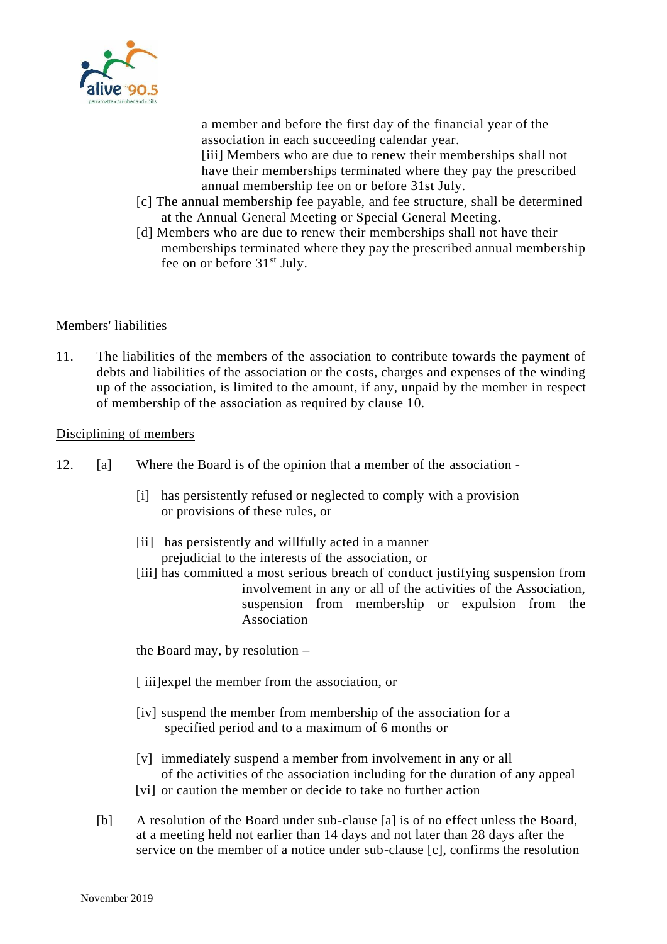

a member and before the first day of the financial year of the association in each succeeding calendar year.

[iii] Members who are due to renew their memberships shall not have their memberships terminated where they pay the prescribed annual membership fee on or before 31st July.

- [c] The annual membership fee payable, and fee structure, shall be determined at the Annual General Meeting or Special General Meeting.
- [d] Members who are due to renew their memberships shall not have their memberships terminated where they pay the prescribed annual membership fee on or before  $31<sup>st</sup>$  July.

### Members' liabilities

11. The liabilities of the members of the association to contribute towards the payment of debts and liabilities of the association or the costs, charges and expenses of the winding up of the association, is limited to the amount, if any, unpaid by the member in respect of membership of the association as required by clause 10.

#### Disciplining of members

- 12. [a] Where the Board is of the opinion that a member of the association
	- [i] has persistently refused or neglected to comply with a provision or provisions of these rules, or
	- [ii] has persistently and willfully acted in a manner prejudicial to the interests of the association, or
	- [iii] has committed a most serious breach of conduct justifying suspension from involvement in any or all of the activities of the Association, suspension from membership or expulsion from the Association

the Board may, by resolution –

- [ iii]expel the member from the association, or
- [iv] suspend the member from membership of the association for a specified period and to a maximum of 6 months or
- [v] immediately suspend a member from involvement in any or all of the activities of the association including for the duration of any appeal
- [vi] or caution the member or decide to take no further action
- [b] A resolution of the Board under sub-clause [a] is of no effect unless the Board, at a meeting held not earlier than 14 days and not later than 28 days after the service on the member of a notice under sub-clause [c], confirms the resolution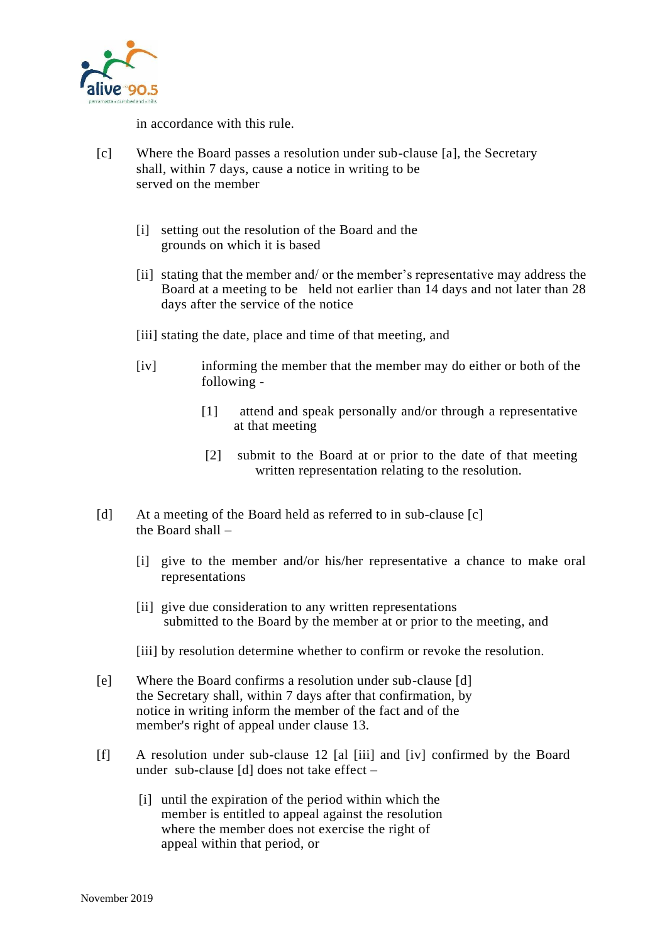

in accordance with this rule.

- [c] Where the Board passes a resolution under sub-clause [a], the Secretary shall, within 7 days, cause a notice in writing to be served on the member
	- [i] setting out the resolution of the Board and the grounds on which it is based
	- [ii] stating that the member and/ or the member's representative may address the Board at a meeting to be held not earlier than 14 days and not later than 28 days after the service of the notice
	- [iii] stating the date, place and time of that meeting, and
	- [iv] informing the member that the member may do either or both of the following -
		- [1] attend and speak personally and/or through a representative at that meeting
		- [2] submit to the Board at or prior to the date of that meeting written representation relating to the resolution.
- [d] At a meeting of the Board held as referred to in sub-clause [c] the Board shall –
	- [i] give to the member and/or his/her representative a chance to make oral representations
	- [ii] give due consideration to any written representations submitted to the Board by the member at or prior to the meeting, and
	- [iii] by resolution determine whether to confirm or revoke the resolution.
- [e] Where the Board confirms a resolution under sub-clause [d] the Secretary shall, within 7 days after that confirmation, by notice in writing inform the member of the fact and of the member's right of appeal under clause 13.
- [f] A resolution under sub-clause 12 [al [iii] and [iv] confirmed by the Board under sub-clause [d] does not take effect –
	- [i] until the expiration of the period within which the member is entitled to appeal against the resolution where the member does not exercise the right of appeal within that period, or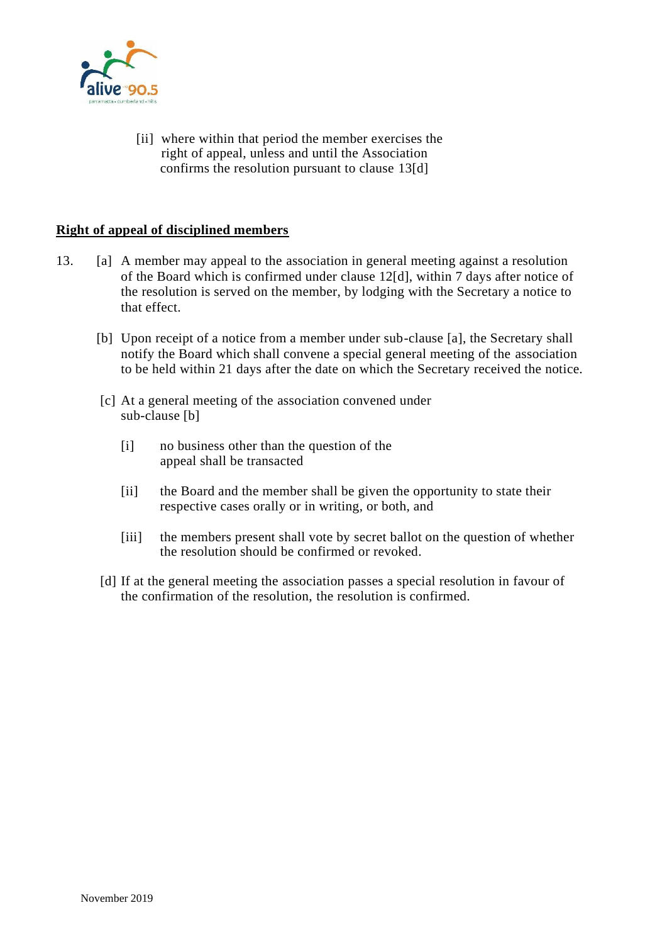

[ii] where within that period the member exercises the right of appeal, unless and until the Association confirms the resolution pursuant to clause 13[d]

### **Right of appeal of disciplined members**

- 13. [a] A member may appeal to the association in general meeting against a resolution of the Board which is confirmed under clause 12[d], within 7 days after notice of the resolution is served on the member, by lodging with the Secretary a notice to that effect.
	- [b] Upon receipt of a notice from a member under sub-clause [a], the Secretary shall notify the Board which shall convene a special general meeting of the association to be held within 21 days after the date on which the Secretary received the notice.
	- [c] At a general meeting of the association convened under sub-clause [b]
		- [i] no business other than the question of the appeal shall be transacted
		- [ii] the Board and the member shall be given the opportunity to state their respective cases orally or in writing, or both, and
		- [iii] the members present shall vote by secret ballot on the question of whether the resolution should be confirmed or revoked.
	- [d] If at the general meeting the association passes a special resolution in favour of the confirmation of the resolution, the resolution is confirmed.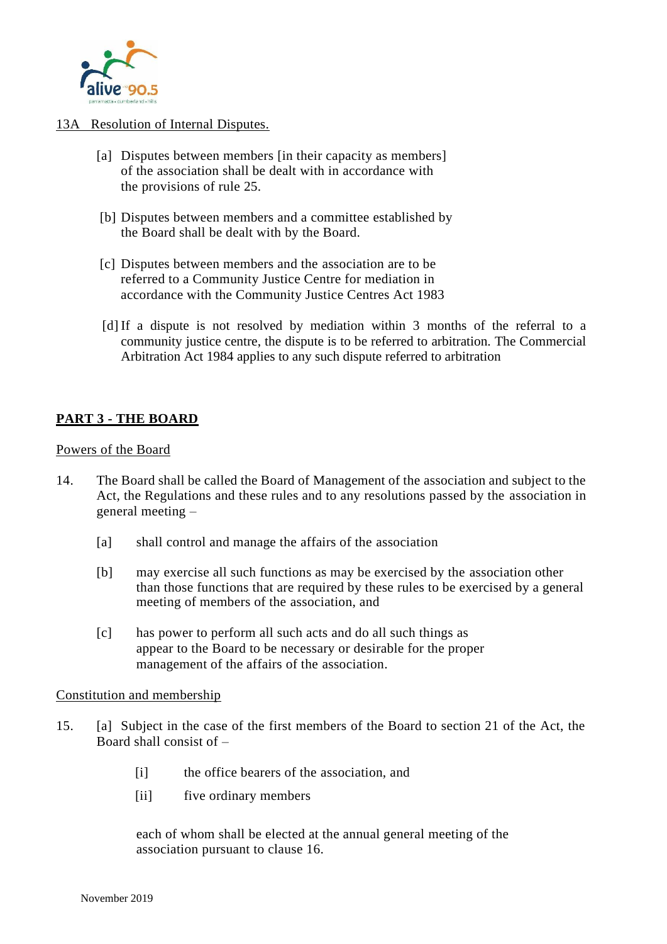

### 13A Resolution of Internal Disputes.

- [a] Disputes between members [in their capacity as members] of the association shall be dealt with in accordance with the provisions of rule 25.
- [b] Disputes between members and a committee established by the Board shall be dealt with by the Board.
- [c] Disputes between members and the association are to be referred to a Community Justice Centre for mediation in accordance with the Community Justice Centres Act 1983
- [d] If a dispute is not resolved by mediation within 3 months of the referral to a community justice centre, the dispute is to be referred to arbitration. The Commercial Arbitration Act 1984 applies to any such dispute referred to arbitration

### **PART 3 - THE BOARD**

Powers of the Board

- 14. The Board shall be called the Board of Management of the association and subject to the Act, the Regulations and these rules and to any resolutions passed by the association in general meeting –
	- [a] shall control and manage the affairs of the association
	- [b] may exercise all such functions as may be exercised by the association other than those functions that are required by these rules to be exercised by a general meeting of members of the association, and
	- [c] has power to perform all such acts and do all such things as appear to the Board to be necessary or desirable for the proper management of the affairs of the association.

Constitution and membership

- 15. [a] Subject in the case of the first members of the Board to section 21 of the Act, the Board shall consist of –
	- [i] the office bearers of the association, and
	- [ii] five ordinary members

each of whom shall be elected at the annual general meeting of the association pursuant to clause 16.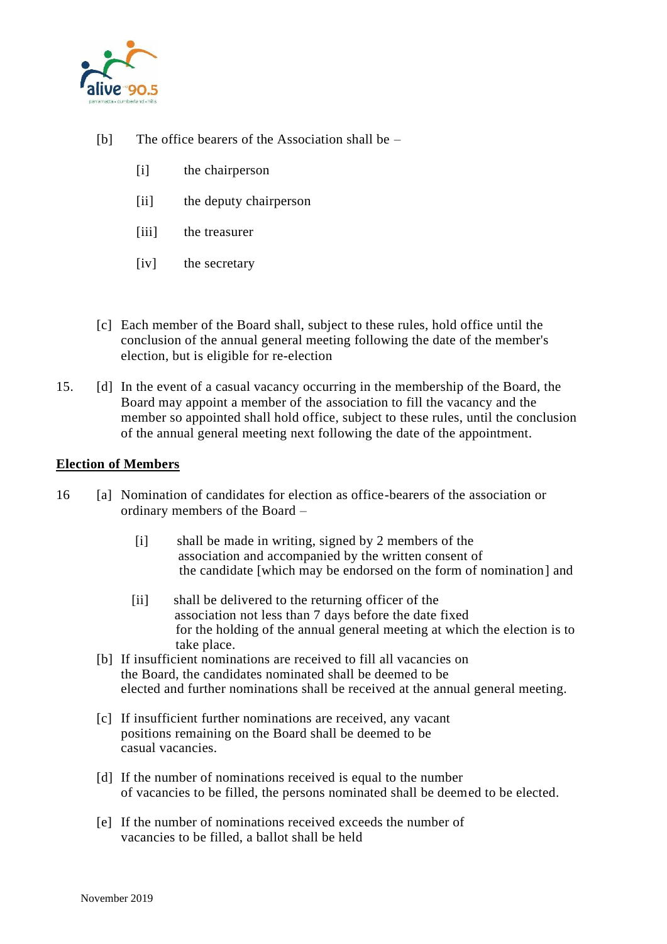

- [b] The office bearers of the Association shall be
	- [i] the chairperson
	- [ii] the deputy chairperson
	- [iii] the treasurer
	- [iv] the secretary
- [c] Each member of the Board shall, subject to these rules, hold office until the conclusion of the annual general meeting following the date of the member's election, but is eligible for re-election
- 15. [d] In the event of a casual vacancy occurring in the membership of the Board, the Board may appoint a member of the association to fill the vacancy and the member so appointed shall hold office, subject to these rules, until the conclusion of the annual general meeting next following the date of the appointment.

#### **Election of Members**

- 16 [a] Nomination of candidates for election as office-bearers of the association or ordinary members of the Board –
	- [i] shall be made in writing, signed by 2 members of the association and accompanied by the written consent of the candidate [which may be endorsed on the form of nomination] and
	- [ii] shall be delivered to the returning officer of the association not less than 7 days before the date fixed for the holding of the annual general meeting at which the election is to take place.
	- [b] If insufficient nominations are received to fill all vacancies on the Board, the candidates nominated shall be deemed to be elected and further nominations shall be received at the annual general meeting.
	- [c] If insufficient further nominations are received, any vacant positions remaining on the Board shall be deemed to be casual vacancies.
	- [d] If the number of nominations received is equal to the number of vacancies to be filled, the persons nominated shall be deemed to be elected.
	- [e] If the number of nominations received exceeds the number of vacancies to be filled, a ballot shall be held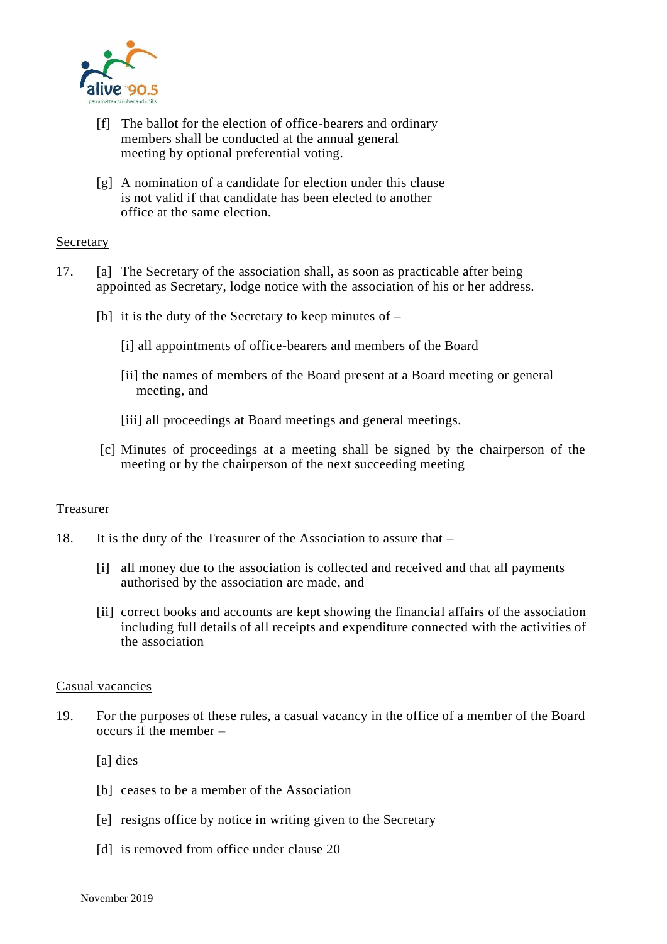

- [f] The ballot for the election of office-bearers and ordinary members shall be conducted at the annual general meeting by optional preferential voting.
- [g] A nomination of a candidate for election under this clause is not valid if that candidate has been elected to another office at the same election.

#### Secretary

- 17. [a] The Secretary of the association shall, as soon as practicable after being appointed as Secretary, lodge notice with the association of his or her address.
	- [b] it is the duty of the Secretary to keep minutes of  $-$ 
		- [i] all appointments of office-bearers and members of the Board
		- [ii] the names of members of the Board present at a Board meeting or general meeting, and
		- [iii] all proceedings at Board meetings and general meetings.
	- [c] Minutes of proceedings at a meeting shall be signed by the chairperson of the meeting or by the chairperson of the next succeeding meeting

#### Treasurer

- 18. It is the duty of the Treasurer of the Association to assure that
	- [i] all money due to the association is collected and received and that all payments authorised by the association are made, and
	- [ii] correct books and accounts are kept showing the financial affairs of the association including full details of all receipts and expenditure connected with the activities of the association

#### Casual vacancies

- 19. For the purposes of these rules, a casual vacancy in the office of a member of the Board occurs if the member –
	- [a] dies
	- [b] ceases to be a member of the Association
	- [e] resigns office by notice in writing given to the Secretary
	- [d] is removed from office under clause 20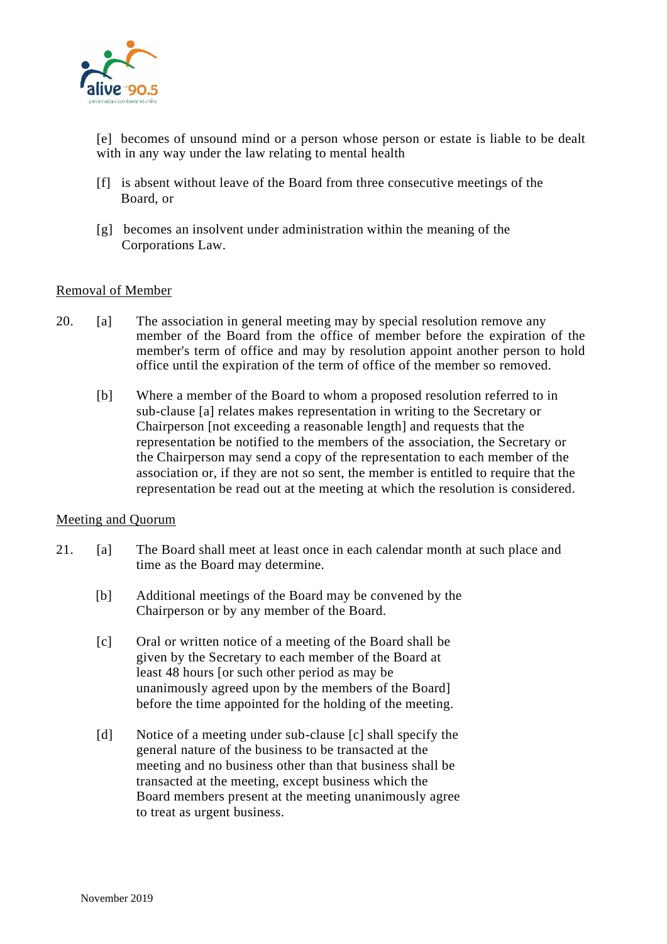

[e] becomes of unsound mind or a person whose person or estate is liable to be dealt with in any way under the law relating to mental health

- [f] is absent without leave of the Board from three consecutive meetings of the Board, or
- [g] becomes an insolvent under administration within the meaning of the Corporations Law.

#### Removal of Member

- 20. [a] The association in general meeting may by special resolution remove any member of the Board from the office of member before the expiration of the member's term of office and may by resolution appoint another person to hold office until the expiration of the term of office of the member so removed.
	- [b] Where a member of the Board to whom a proposed resolution referred to in sub-clause [a] relates makes representation in writing to the Secretary or Chairperson [not exceeding a reasonable length] and requests that the representation be notified to the members of the association, the Secretary or the Chairperson may send a copy of the representation to each member of the association or, if they are not so sent, the member is entitled to require that the representation be read out at the meeting at which the resolution is considered.

#### Meeting and Quorum

- 21. [a] The Board shall meet at least once in each calendar month at such place and time as the Board may determine.
	- [b] Additional meetings of the Board may be convened by the Chairperson or by any member of the Board.
	- [c] Oral or written notice of a meeting of the Board shall be given by the Secretary to each member of the Board at least 48 hours [or such other period as may be unanimously agreed upon by the members of the Board] before the time appointed for the holding of the meeting.
	- [d] Notice of a meeting under sub-clause [c] shall specify the general nature of the business to be transacted at the meeting and no business other than that business shall be transacted at the meeting, except business which the Board members present at the meeting unanimously agree to treat as urgent business.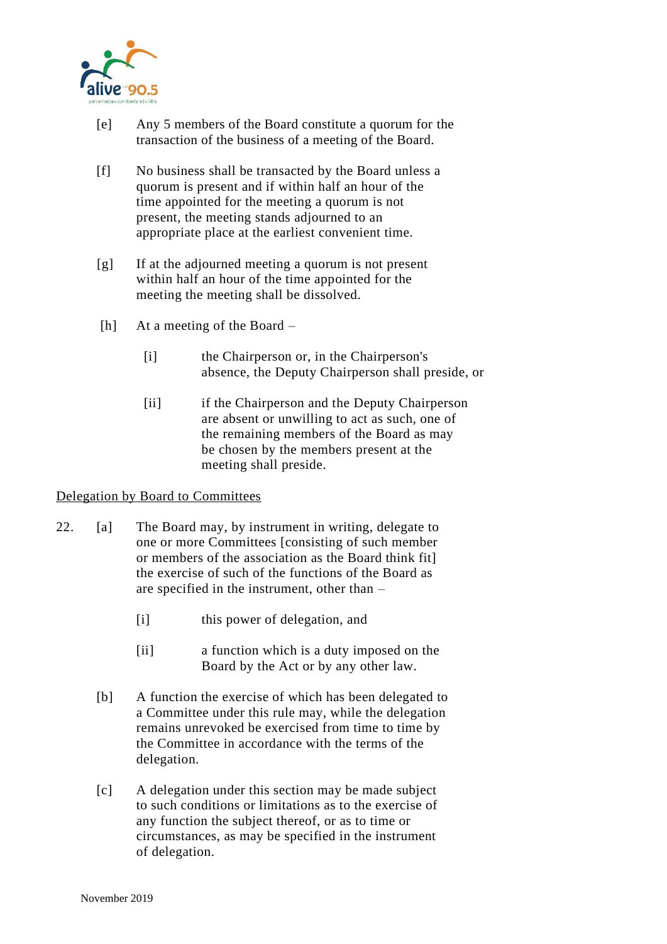

- [e] Any 5 members of the Board constitute a quorum for the transaction of the business of a meeting of the Board.
- [f] No business shall be transacted by the Board unless a quorum is present and if within half an hour of the time appointed for the meeting a quorum is not present, the meeting stands adjourned to an appropriate place at the earliest convenient time.
- [g] If at the adjourned meeting a quorum is not present within half an hour of the time appointed for the meeting the meeting shall be dissolved.
- [h] At a meeting of the Board
	- [i] the Chairperson or, in the Chairperson's absence, the Deputy Chairperson shall preside, or
	- [ii] if the Chairperson and the Deputy Chairperson are absent or unwilling to act as such, one of the remaining members of the Board as may be chosen by the members present at the meeting shall preside.

### Delegation by Board to Committees

- 22. [a] The Board may, by instrument in writing, delegate to one or more Committees [consisting of such member or members of the association as the Board think fit] the exercise of such of the functions of the Board as are specified in the instrument, other than –
	- [i] this power of delegation, and
	- [ii] a function which is a duty imposed on the Board by the Act or by any other law.
	- [b] A function the exercise of which has been delegated to a Committee under this rule may, while the delegation remains unrevoked be exercised from time to time by the Committee in accordance with the terms of the delegation.
	- [c] A delegation under this section may be made subject to such conditions or limitations as to the exercise of any function the subject thereof, or as to time or circumstances, as may be specified in the instrument of delegation.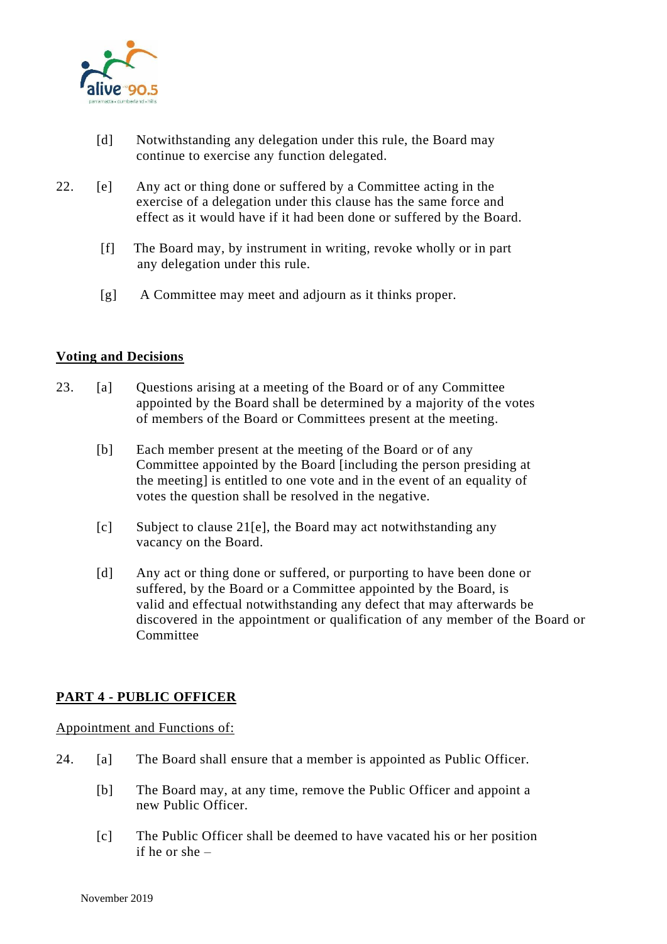

- [d] Notwithstanding any delegation under this rule, the Board may continue to exercise any function delegated.
- 22. [e] Any act or thing done or suffered by a Committee acting in the exercise of a delegation under this clause has the same force and effect as it would have if it had been done or suffered by the Board.
	- [f] The Board may, by instrument in writing, revoke wholly or in part any delegation under this rule.
	- [g] A Committee may meet and adjourn as it thinks proper.

### **Voting and Decisions**

- 23. [a] Questions arising at a meeting of the Board or of any Committee appointed by the Board shall be determined by a majority of the votes of members of the Board or Committees present at the meeting.
	- [b] Each member present at the meeting of the Board or of any Committee appointed by the Board [including the person presiding at the meeting] is entitled to one vote and in the event of an equality of votes the question shall be resolved in the negative.
	- [c] Subject to clause 21[e], the Board may act notwithstanding any vacancy on the Board.
	- [d] Any act or thing done or suffered, or purporting to have been done or suffered, by the Board or a Committee appointed by the Board, is valid and effectual notwithstanding any defect that may afterwards be discovered in the appointment or qualification of any member of the Board or **Committee**

### **PART 4 - PUBLIC OFFICER**

#### Appointment and Functions of:

- 24. [a] The Board shall ensure that a member is appointed as Public Officer.
	- [b] The Board may, at any time, remove the Public Officer and appoint a new Public Officer.
	- [c] The Public Officer shall be deemed to have vacated his or her position if he or she –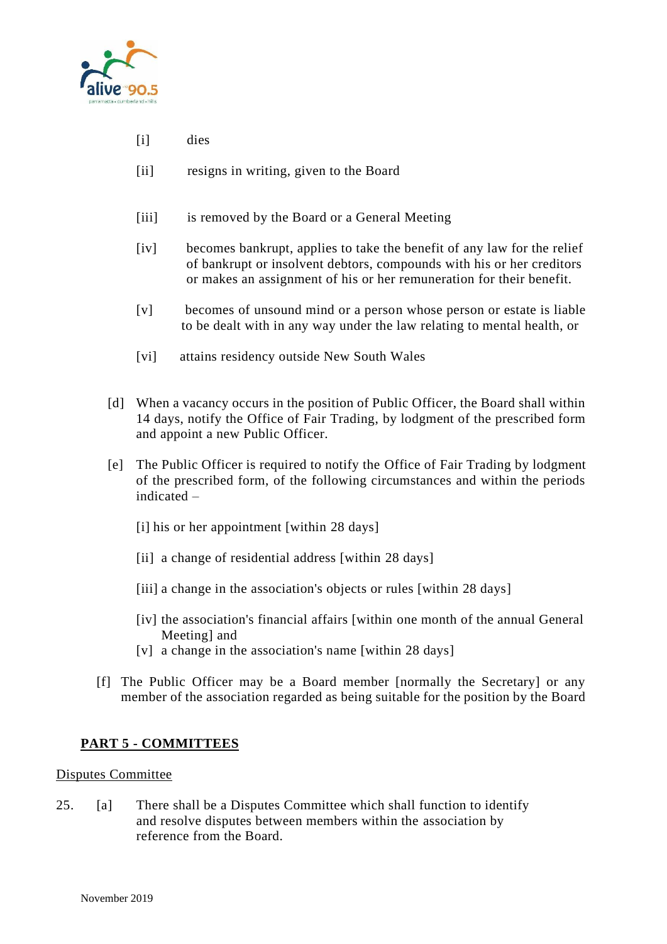

- [i] dies
- [ii] resigns in writing, given to the Board
- [iii] is removed by the Board or a General Meeting
- [iv] becomes bankrupt, applies to take the benefit of any law for the relief of bankrupt or insolvent debtors, compounds with his or her creditors or makes an assignment of his or her remuneration for their benefit.
- [v] becomes of unsound mind or a person whose person or estate is liable to be dealt with in any way under the law relating to mental health, or
- [vi] attains residency outside New South Wales
- [d] When a vacancy occurs in the position of Public Officer, the Board shall within 14 days, notify the Office of Fair Trading, by lodgment of the prescribed form and appoint a new Public Officer.
- [e] The Public Officer is required to notify the Office of Fair Trading by lodgment of the prescribed form, of the following circumstances and within the periods indicated –
	- [i] his or her appointment [within 28 days]
	- [ii] a change of residential address [within 28 days]
	- [iii] a change in the association's objects or rules [within 28 days]
	- [iv] the association's financial affairs [within one month of the annual General Meeting] and
	- [v] a change in the association's name [within 28 days]
- [f] The Public Officer may be a Board member [normally the Secretary] or any member of the association regarded as being suitable for the position by the Board

### **PART 5 - COMMITTEES**

#### Disputes Committee

25. [a] There shall be a Disputes Committee which shall function to identify and resolve disputes between members within the association by reference from the Board.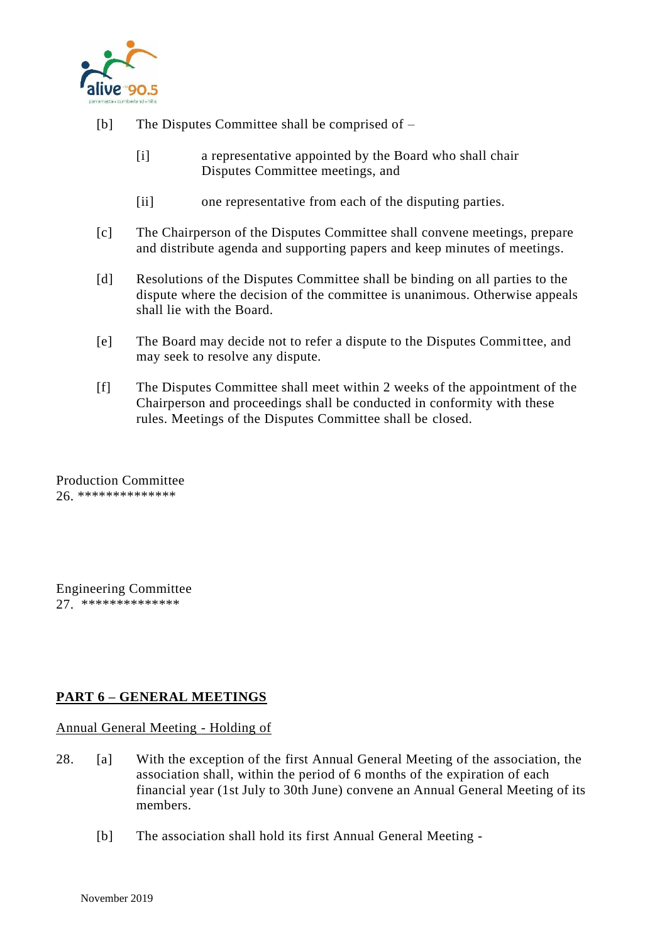

- [b] The Disputes Committee shall be comprised of
	- [i] a representative appointed by the Board who shall chair Disputes Committee meetings, and
	- [ii] one representative from each of the disputing parties.
- [c] The Chairperson of the Disputes Committee shall convene meetings, prepare and distribute agenda and supporting papers and keep minutes of meetings.
- [d] Resolutions of the Disputes Committee shall be binding on all parties to the dispute where the decision of the committee is unanimous. Otherwise appeals shall lie with the Board.
- [e] The Board may decide not to refer a dispute to the Disputes Committee, and may seek to resolve any dispute.
- [f] The Disputes Committee shall meet within 2 weeks of the appointment of the Chairperson and proceedings shall be conducted in conformity with these rules. Meetings of the Disputes Committee shall be closed.

Production Committee 26. \*\*\*\*\*\*\*\*\*\*\*\*\*\*

Engineering Committee 27. \*\*\*\*\*\*\*\*\*\*\*\*\*\*

## **PART 6 – GENERAL MEETINGS**

Annual General Meeting - Holding of

- 28. [a] With the exception of the first Annual General Meeting of the association, the association shall, within the period of 6 months of the expiration of each financial year (1st July to 30th June) convene an Annual General Meeting of its members.
	- [b] The association shall hold its first Annual General Meeting -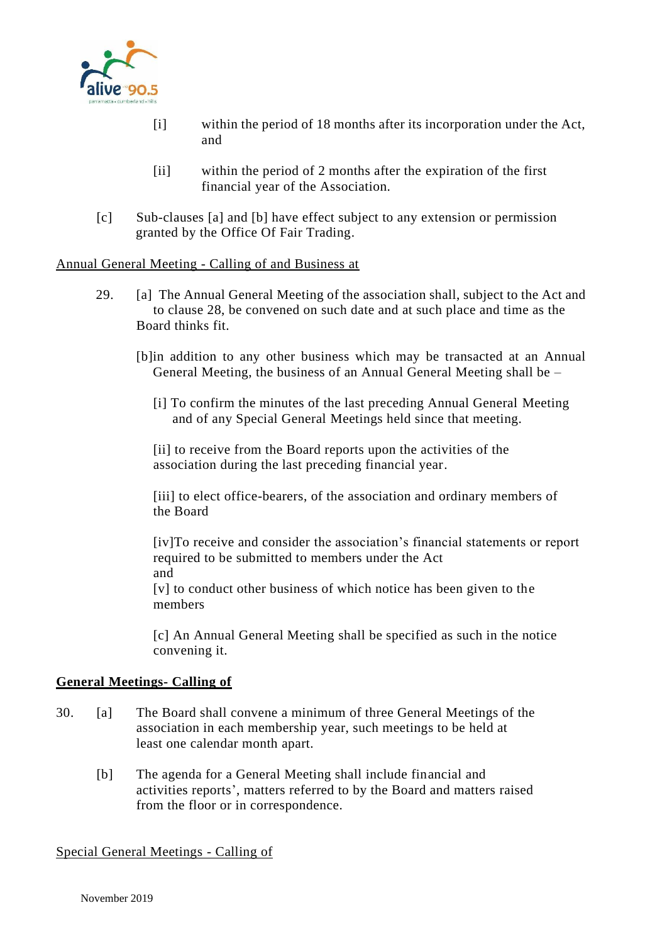

- [i] within the period of 18 months after its incorporation under the Act, and
- [ii] within the period of 2 months after the expiration of the first financial year of the Association.
- [c] Sub-clauses [a] and [b] have effect subject to any extension or permission granted by the Office Of Fair Trading.

#### Annual General Meeting - Calling of and Business at

- 29. [a] The Annual General Meeting of the association shall, subject to the Act and to clause 28, be convened on such date and at such place and time as the Board thinks fit.
	- [b]in addition to any other business which may be transacted at an Annual General Meeting, the business of an Annual General Meeting shall be –
		- [i] To confirm the minutes of the last preceding Annual General Meeting and of any Special General Meetings held since that meeting.

 [ii] to receive from the Board reports upon the activities of the association during the last preceding financial year.

[iii] to elect office-bearers, of the association and ordinary members of the Board

[iv]To receive and consider the association's financial statements or report required to be submitted to members under the Act and

 [v] to conduct other business of which notice has been given to the members

 [c] An Annual General Meeting shall be specified as such in the notice convening it.

#### **General Meetings- Calling of**

- 30. [a] The Board shall convene a minimum of three General Meetings of the association in each membership year, such meetings to be held at least one calendar month apart.
	- [b] The agenda for a General Meeting shall include financial and activities reports', matters referred to by the Board and matters raised from the floor or in correspondence.

#### Special General Meetings - Calling of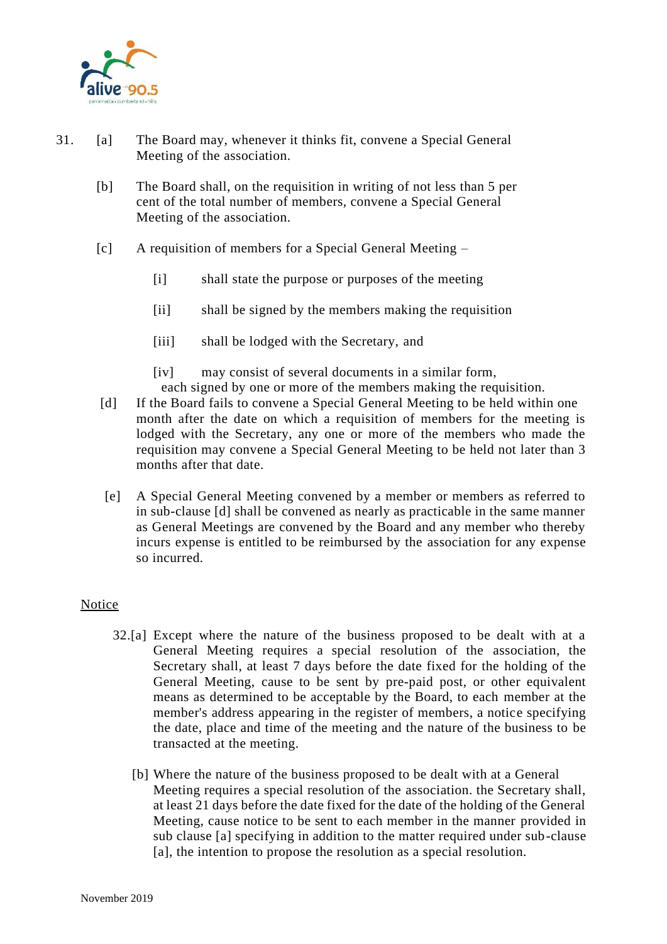

- 31. [a] The Board may, whenever it thinks fit, convene a Special General Meeting of the association.
	- [b] The Board shall, on the requisition in writing of not less than 5 per cent of the total number of members, convene a Special General Meeting of the association.
	- [c] A requisition of members for a Special General Meeting
		- [i] shall state the purpose or purposes of the meeting
		- [ii] shall be signed by the members making the requisition
		- [iii] shall be lodged with the Secretary, and
		- [iv] may consist of several documents in a similar form,
		- each signed by one or more of the members making the requisition.
	- [d] If the Board fails to convene a Special General Meeting to be held within one month after the date on which a requisition of members for the meeting is lodged with the Secretary, any one or more of the members who made the requisition may convene a Special General Meeting to be held not later than 3 months after that date.
	- [e] A Special General Meeting convened by a member or members as referred to in sub-clause [d] shall be convened as nearly as practicable in the same manner as General Meetings are convened by the Board and any member who thereby incurs expense is entitled to be reimbursed by the association for any expense so incurred.

### **Notice**

- 32.[a] Except where the nature of the business proposed to be dealt with at a General Meeting requires a special resolution of the association, the Secretary shall, at least 7 days before the date fixed for the holding of the General Meeting, cause to be sent by pre-paid post, or other equivalent means as determined to be acceptable by the Board, to each member at the member's address appearing in the register of members, a notice specifying the date, place and time of the meeting and the nature of the business to be transacted at the meeting.
	- [b] Where the nature of the business proposed to be dealt with at a General Meeting requires a special resolution of the association. the Secretary shall, at least 21 days before the date fixed for the date of the holding of the General Meeting, cause notice to be sent to each member in the manner provided in sub clause [a] specifying in addition to the matter required under sub-clause [a], the intention to propose the resolution as a special resolution.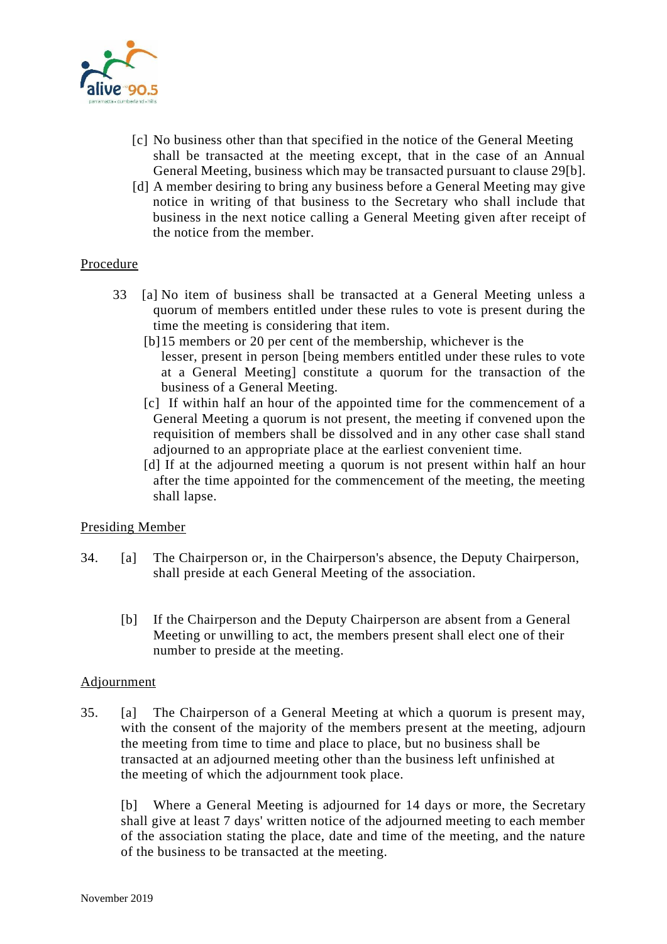

- [c] No business other than that specified in the notice of the General Meeting shall be transacted at the meeting except, that in the case of an Annual General Meeting, business which may be transacted pursuant to clause 29[b].
- [d] A member desiring to bring any business before a General Meeting may give notice in writing of that business to the Secretary who shall include that business in the next notice calling a General Meeting given after receipt of the notice from the member.

### Procedure

- 33 [a] No item of business shall be transacted at a General Meeting unless a quorum of members entitled under these rules to vote is present during the time the meeting is considering that item.
	- [b]15 members or 20 per cent of the membership, whichever is the lesser, present in person [being members entitled under these rules to vote at a General Meeting] constitute a quorum for the transaction of the business of a General Meeting.
	- [c] If within half an hour of the appointed time for the commencement of a General Meeting a quorum is not present, the meeting if convened upon the requisition of members shall be dissolved and in any other case shall stand adjourned to an appropriate place at the earliest convenient time.
	- [d] If at the adjourned meeting a quorum is not present within half an hour after the time appointed for the commencement of the meeting, the meeting shall lapse.

### Presiding Member

- 34. [a] The Chairperson or, in the Chairperson's absence, the Deputy Chairperson, shall preside at each General Meeting of the association.
	- [b] If the Chairperson and the Deputy Chairperson are absent from a General Meeting or unwilling to act, the members present shall elect one of their number to preside at the meeting.

#### Adjournment

35. [a] The Chairperson of a General Meeting at which a quorum is present may, with the consent of the majority of the members present at the meeting, adjourn the meeting from time to time and place to place, but no business shall be transacted at an adjourned meeting other than the business left unfinished at the meeting of which the adjournment took place.

[b] Where a General Meeting is adjourned for 14 days or more, the Secretary shall give at least 7 days' written notice of the adjourned meeting to each member of the association stating the place, date and time of the meeting, and the nature of the business to be transacted at the meeting.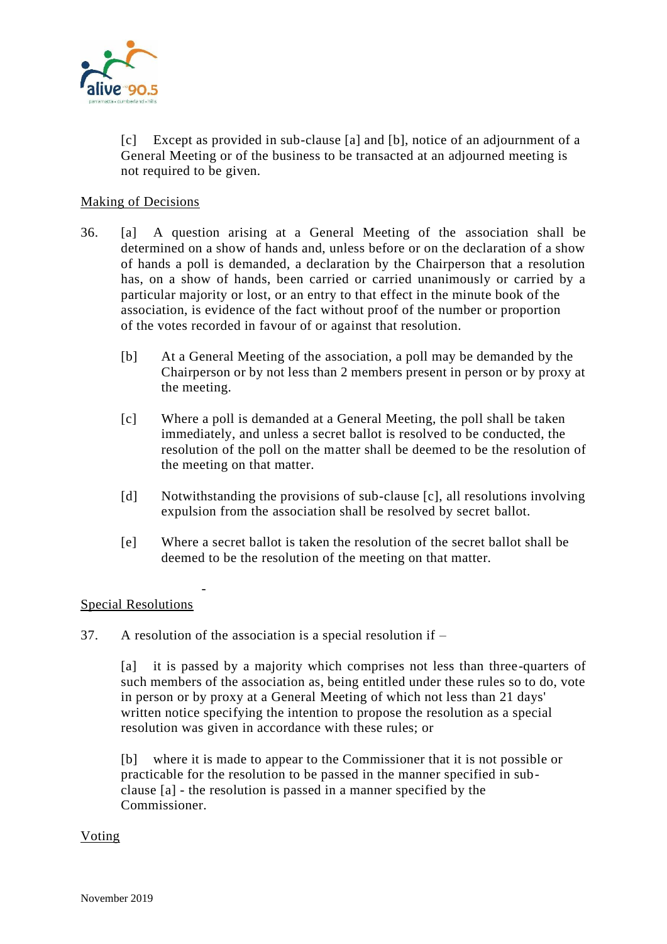

[c] Except as provided in sub-clause [a] and [b], notice of an adjournment of a General Meeting or of the business to be transacted at an adjourned meeting is not required to be given.

#### Making of Decisions

- 36. [a] A question arising at a General Meeting of the association shall be determined on a show of hands and, unless before or on the declaration of a show of hands a poll is demanded, a declaration by the Chairperson that a resolution has, on a show of hands, been carried or carried unanimously or carried by a particular majority or lost, or an entry to that effect in the minute book of the association, is evidence of the fact without proof of the number or proportion of the votes recorded in favour of or against that resolution.
	- [b] At a General Meeting of the association, a poll may be demanded by the Chairperson or by not less than 2 members present in person or by proxy at the meeting.
	- [c] Where a poll is demanded at a General Meeting, the poll shall be taken immediately, and unless a secret ballot is resolved to be conducted, the resolution of the poll on the matter shall be deemed to be the resolution of the meeting on that matter.
	- [d] Notwithstanding the provisions of sub-clause [c], all resolutions involving expulsion from the association shall be resolved by secret ballot.
	- [e] Where a secret ballot is taken the resolution of the secret ballot shall be deemed to be the resolution of the meeting on that matter.

### Special Resolutions

-

37. A resolution of the association is a special resolution if –

[a] it is passed by a majority which comprises not less than three-quarters of such members of the association as, being entitled under these rules so to do, vote in person or by proxy at a General Meeting of which not less than 21 days' written notice specifying the intention to propose the resolution as a special resolution was given in accordance with these rules; or

[b] where it is made to appear to the Commissioner that it is not possible or practicable for the resolution to be passed in the manner specified in subclause [a] - the resolution is passed in a manner specified by the Commissioner.

#### Voting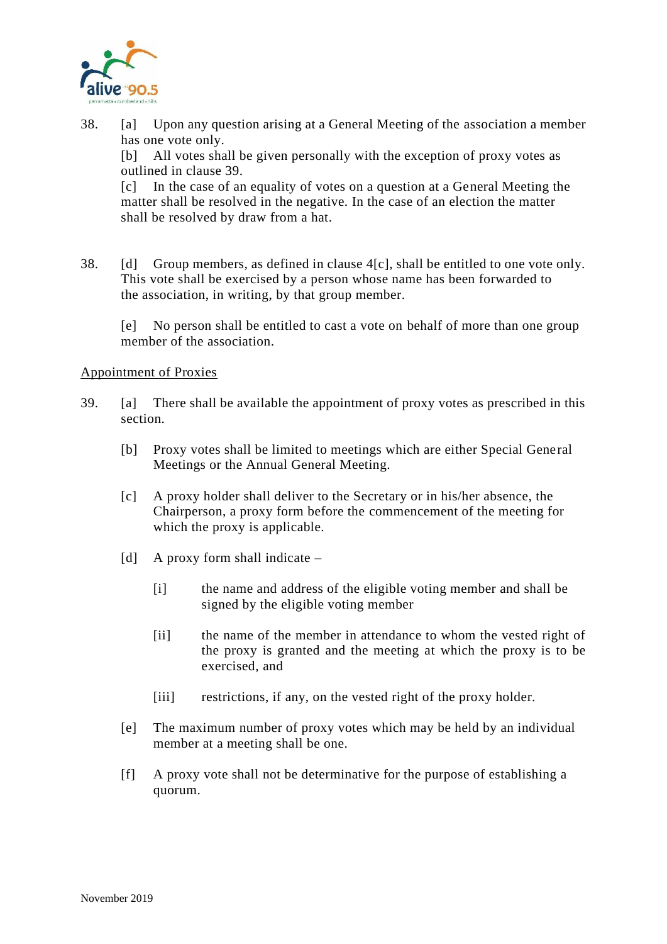

- 38. [a] Upon any question arising at a General Meeting of the association a member has one vote only. [b] All votes shall be given personally with the exception of proxy votes as outlined in clause 39. [c] In the case of an equality of votes on a question at a General Meeting the matter shall be resolved in the negative. In the case of an election the matter shall be resolved by draw from a hat.
- 38. [d] Group members, as defined in clause 4[c], shall be entitled to one vote only. This vote shall be exercised by a person whose name has been forwarded to the association, in writing, by that group member.

[e] No person shall be entitled to cast a vote on behalf of more than one group member of the association.

### Appointment of Proxies

- 39. [a] There shall be available the appointment of proxy votes as prescribed in this section.
	- [b] Proxy votes shall be limited to meetings which are either Special General Meetings or the Annual General Meeting.
	- [c] A proxy holder shall deliver to the Secretary or in his/her absence, the Chairperson, a proxy form before the commencement of the meeting for which the proxy is applicable.
	- [d] A proxy form shall indicate
		- [i] the name and address of the eligible voting member and shall be signed by the eligible voting member
		- [ii] the name of the member in attendance to whom the vested right of the proxy is granted and the meeting at which the proxy is to be exercised, and
		- [iii] restrictions, if any, on the vested right of the proxy holder.
	- [e] The maximum number of proxy votes which may be held by an individual member at a meeting shall be one.
	- [f] A proxy vote shall not be determinative for the purpose of establishing a quorum.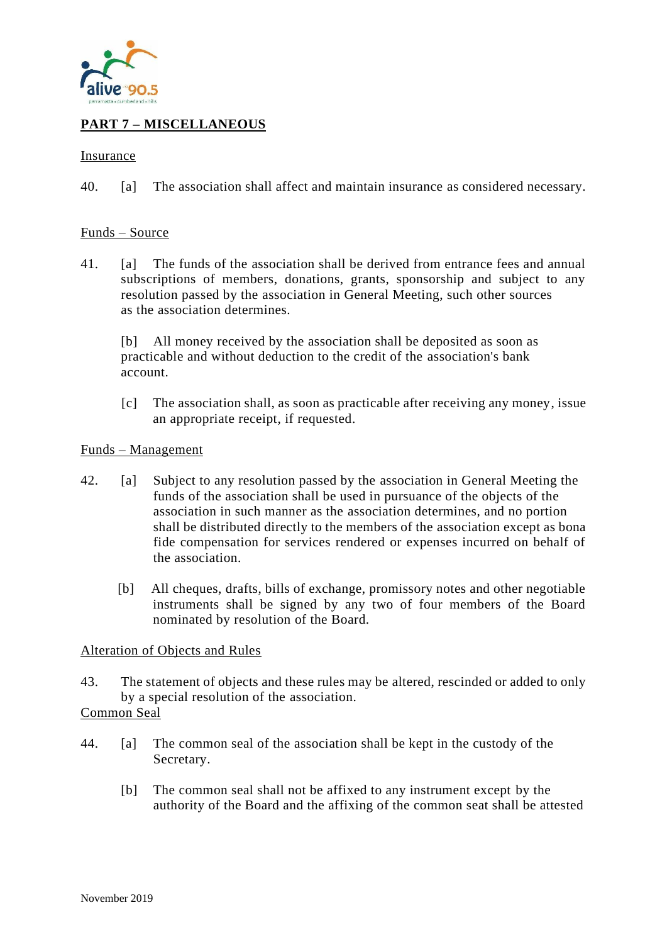

# **PART 7 – MISCELLANEOUS**

#### Insurance

40. [a] The association shall affect and maintain insurance as considered necessary.

#### Funds – Source

41. [a] The funds of the association shall be derived from entrance fees and annual subscriptions of members, donations, grants, sponsorship and subject to any resolution passed by the association in General Meeting, such other sources as the association determines.

[b] All money received by the association shall be deposited as soon as practicable and without deduction to the credit of the association's bank account.

 [c] The association shall, as soon as practicable after receiving any money, issue an appropriate receipt, if requested.

#### Funds – Management

- 42. [a] Subject to any resolution passed by the association in General Meeting the funds of the association shall be used in pursuance of the objects of the association in such manner as the association determines, and no portion shall be distributed directly to the members of the association except as bona fide compensation for services rendered or expenses incurred on behalf of the association.
	- [b] All cheques, drafts, bills of exchange, promissory notes and other negotiable instruments shall be signed by any two of four members of the Board nominated by resolution of the Board.

#### Alteration of Objects and Rules

- 43. The statement of objects and these rules may be altered, rescinded or added to only by a special resolution of the association.
- Common Seal
- 44. [a] The common seal of the association shall be kept in the custody of the Secretary.
	- [b] The common seal shall not be affixed to any instrument except by the authority of the Board and the affixing of the common seat shall be attested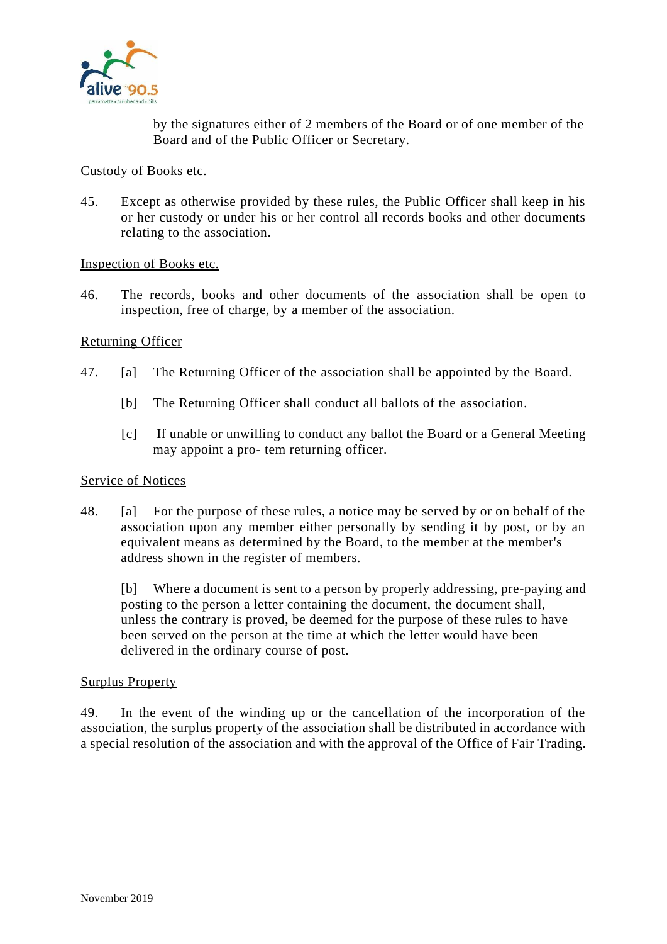

by the signatures either of 2 members of the Board or of one member of the Board and of the Public Officer or Secretary.

#### Custody of Books etc.

45. Except as otherwise provided by these rules, the Public Officer shall keep in his or her custody or under his or her control all records books and other documents relating to the association.

#### Inspection of Books etc.

46. The records, books and other documents of the association shall be open to inspection, free of charge, by a member of the association.

### Returning Officer

- 47. [a] The Returning Officer of the association shall be appointed by the Board.
	- [b] The Returning Officer shall conduct all ballots of the association.
	- [c] If unable or unwilling to conduct any ballot the Board or a General Meeting may appoint a pro- tem returning officer.

#### Service of Notices

48. [a] For the purpose of these rules, a notice may be served by or on behalf of the association upon any member either personally by sending it by post, or by an equivalent means as determined by the Board, to the member at the member's address shown in the register of members.

[b] Where a document is sent to a person by properly addressing, pre-paying and posting to the person a letter containing the document, the document shall, unless the contrary is proved, be deemed for the purpose of these rules to have been served on the person at the time at which the letter would have been delivered in the ordinary course of post.

#### Surplus Property

49. In the event of the winding up or the cancellation of the incorporation of the association, the surplus property of the association shall be distributed in accordance with a special resolution of the association and with the approval of the Office of Fair Trading.